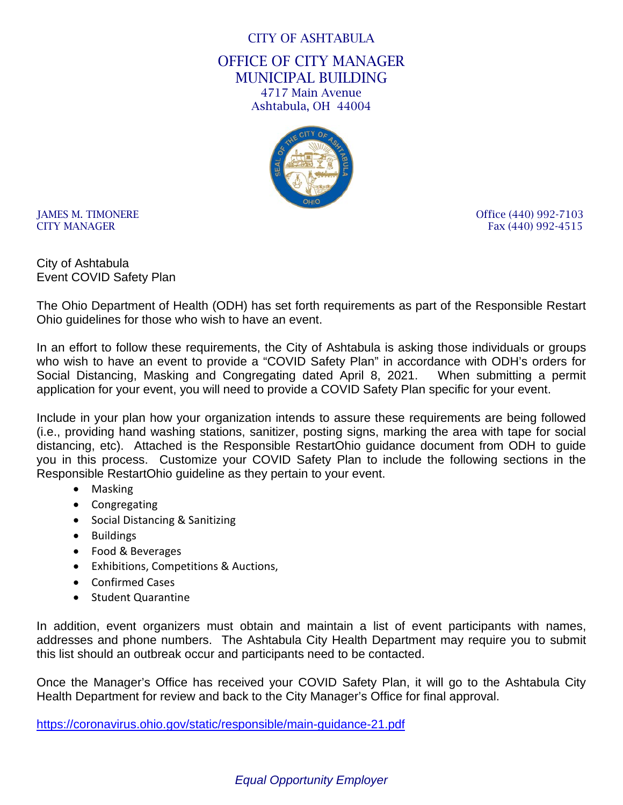### CITY OF ASHTABULA

OFFICE OF CITY MANAGER MUNICIPAL BUILDING 4717 Main Avenue Ashtabula, OH 44004



IAMES M. TIMONERE **Office** (440) 992-7103 CITY MANAGER Fax (440) 992-4515

City of Ashtabula Event COVID Safety Plan

The Ohio Department of Health (ODH) has set forth requirements as part of the Responsible Restart Ohio guidelines for those who wish to have an event.

In an effort to follow these requirements, the City of Ashtabula is asking those individuals or groups who wish to have an event to provide a "COVID Safety Plan" in accordance with ODH's orders for Social Distancing, Masking and Congregating dated April 8, 2021. When submitting a permit application for your event, you will need to provide a COVID Safety Plan specific for your event.

Include in your plan how your organization intends to assure these requirements are being followed (i.e., providing hand washing stations, sanitizer, posting signs, marking the area with tape for social distancing, etc). Attached is the Responsible RestartOhio guidance document from ODH to guide you in this process. Customize your COVID Safety Plan to include the following sections in the Responsible RestartOhio guideline as they pertain to your event.

- Masking
- Congregating
- Social Distancing & Sanitizing
- Buildings
- Food & Beverages
- Exhibitions, Competitions & Auctions,
- Confirmed Cases
- Student Quarantine

In addition, event organizers must obtain and maintain a list of event participants with names, addresses and phone numbers. The Ashtabula City Health Department may require you to submit this list should an outbreak occur and participants need to be contacted.

Once the Manager's Office has received your COVID Safety Plan, it will go to the Ashtabula City Health Department for review and back to the City Manager's Office for final approval.

<https://coronavirus.ohio.gov/static/responsible/main-guidance-21.pdf>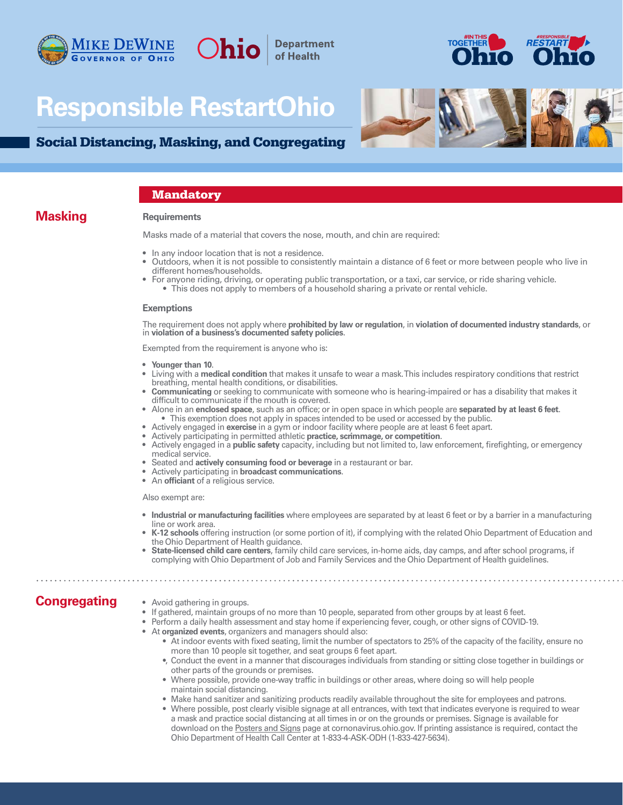





## Social Distancing, Masking, and Congregating

#### **Mandatory**

### **Masking**

#### **Requirements**

Masks made of a material that covers the nose, mouth, and chin are required:

**Department** of Health

- In any indoor location that is not a residence.
- Outdoors, when it is not possible to consistently maintain a distance of 6 feet or more between people who live in different homes/households.
- For anyone riding, driving, or operating public transportation, or a taxi, car service, or ride sharing vehicle.
	- This does not apply to members of a household sharing a private or rental vehicle.

#### **Exemptions**

The requirement does not apply where **prohibited by law or regulation**, in **violation of documented industry standards**, or in **violation of a business's documented safety policies**.

Exempted from the requirement is anyone who is:

- **Younger than 10**.
- Living with a **medical condition** that makes it unsafe to wear a mask. This includes respiratory conditions that restrict breathing, mental health conditions, or disabilities.
- **Communicating** or seeking to communicate with someone who is hearing-impaired or has a disability that makes it difficult to communicate if the mouth is covered.
- Alone in an **enclosed space**, such as an office; or in open space in which people are **separated by at least 6 feet**. • This exemption does not apply in spaces intended to be used or accessed by the public.
- Actively engaged in **exercise** in a gym or indoor facility where people are at least 6 feet apart.
- Actively participating in permitted athletic **practice, scrimmage, or competition**.
- Actively engaged in a **public safety** capacity, including but not limited to, law enforcement, firefighting, or emergency medical service.
- Seated and **actively consuming food or beverage** in a restaurant or bar.
- Actively participating in **broadcast communications**.
- An **officiant** of a religious service.

Also exempt are:

- **Industrial or manufacturing facilities** where employees are separated by at least 6 feet or by a barrier in a manufacturing line or work area.
- **K-12 schools** offering instruction (or some portion of it), if complying with the related Ohio Department of Education and the Ohio Department of Health guidance.
- **State-licensed child care centers**, family child care services, in-home aids, day camps, and after school programs, if complying with Ohio Department of Job and Family Services and the Ohio Department of Health guidelines.

## **Congregating**

• Avoid gathering in groups.

- If gathered, maintain groups of no more than 10 people, separated from other groups by at least 6 feet.
- Perform a daily health assessment and stay home if experiencing fever, cough, or other signs of COVID-19.
- At **organized events**, organizers and managers should also:
	- At indoor events with fixed seating, limit the number of spectators to 25% of the capacity of the facility, ensure no more than 10 people sit together, and seat groups 6 feet apart.
	- •, Conduct the event in a manner that discourages individuals from standing or sitting close together in buildings or other parts of the grounds or premises.
	- Where possible, provide one-way traffic in buildings or other areas, where doing so will help people maintain social distancing.
	- Make hand sanitizer and sanitizing products readily available throughout the site for employees and patrons.
		- Where possible, post clearly visible signage at all entrances, with text that indicates everyone is required to wear a mask and practice social distancing at all times in or on the grounds or premises. Signage is available for download on the [Posters and Signs](https://coronavirus.ohio.gov/wps/portal/gov/covid-19/responsible-restart-ohio/Posters-and-Signs/) page at cornonavirus.ohio.gov. If printing assistance is required, contact the Ohio Department of Health Call Center at 1-833-4-ASK-ODH (1-833-427-5634).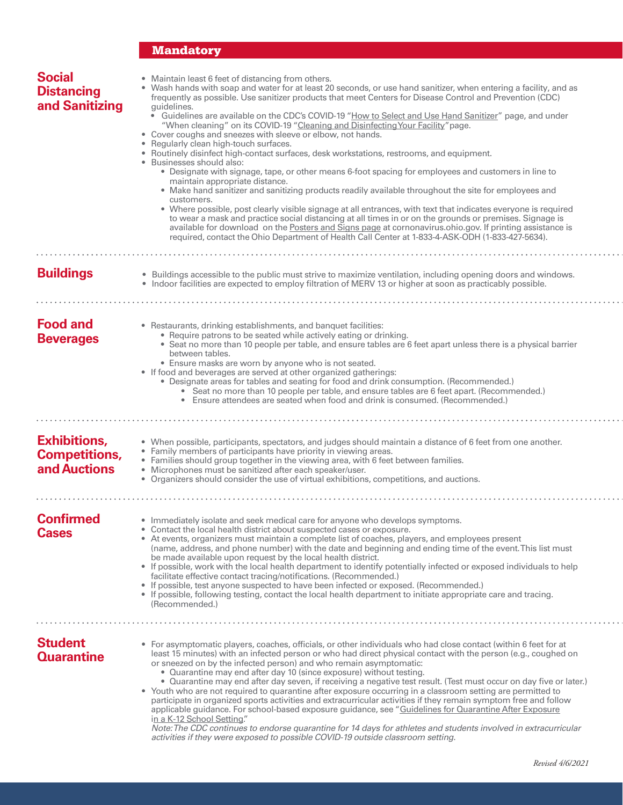## **Mandatory**

| <b>Social</b><br><b>Distancing</b><br>and Sanitizing        | • Maintain least 6 feet of distancing from others.<br>Wash hands with soap and water for at least 20 seconds, or use hand sanitizer, when entering a facility, and as<br>frequently as possible. Use sanitizer products that meet Centers for Disease Control and Prevention (CDC)<br>guidelines.<br>• Guidelines are available on the CDC's COVID-19 "How to Select and Use Hand Sanitizer" page, and under<br>"When cleaning" on its COVID-19 "Cleaning and Disinfecting Your Facility" page.<br>• Cover coughs and sneezes with sleeve or elbow, not hands.<br>• Regularly clean high-touch surfaces.<br>• Routinely disinfect high-contact surfaces, desk workstations, restrooms, and equipment.<br>• Businesses should also:<br>· Designate with signage, tape, or other means 6-foot spacing for employees and customers in line to<br>maintain appropriate distance.<br>• Make hand sanitizer and sanitizing products readily available throughout the site for employees and<br>customers.<br>• Where possible, post clearly visible signage at all entrances, with text that indicates everyone is required<br>to wear a mask and practice social distancing at all times in or on the grounds or premises. Signage is<br>available for download on the Posters and Signs page at cornonavirus.ohio.gov. If printing assistance is<br>required, contact the Ohio Department of Health Call Center at 1-833-4-ASK-ODH (1-833-427-5634). |
|-------------------------------------------------------------|--------------------------------------------------------------------------------------------------------------------------------------------------------------------------------------------------------------------------------------------------------------------------------------------------------------------------------------------------------------------------------------------------------------------------------------------------------------------------------------------------------------------------------------------------------------------------------------------------------------------------------------------------------------------------------------------------------------------------------------------------------------------------------------------------------------------------------------------------------------------------------------------------------------------------------------------------------------------------------------------------------------------------------------------------------------------------------------------------------------------------------------------------------------------------------------------------------------------------------------------------------------------------------------------------------------------------------------------------------------------------------------------------------------------------------------------------|
|                                                             |                                                                                                                                                                                                                                                                                                                                                                                                                                                                                                                                                                                                                                                                                                                                                                                                                                                                                                                                                                                                                                                                                                                                                                                                                                                                                                                                                                                                                                                  |
| <b>Buildings</b>                                            | • Buildings accessible to the public must strive to maximize ventilation, including opening doors and windows.<br>• Indoor facilities are expected to employ filtration of MERV 13 or higher at soon as practicably possible.                                                                                                                                                                                                                                                                                                                                                                                                                                                                                                                                                                                                                                                                                                                                                                                                                                                                                                                                                                                                                                                                                                                                                                                                                    |
|                                                             |                                                                                                                                                                                                                                                                                                                                                                                                                                                                                                                                                                                                                                                                                                                                                                                                                                                                                                                                                                                                                                                                                                                                                                                                                                                                                                                                                                                                                                                  |
| <b>Food and</b><br><b>Beverages</b>                         | • Restaurants, drinking establishments, and banquet facilities:<br>• Require patrons to be seated while actively eating or drinking.<br>• Seat no more than 10 people per table, and ensure tables are 6 feet apart unless there is a physical barrier<br>between tables.<br>• Ensure masks are worn by anyone who is not seated.<br>• If food and beverages are served at other organized gatherings:<br>. Designate areas for tables and seating for food and drink consumption. (Recommended.)<br>Seat no more than 10 people per table, and ensure tables are 6 feet apart. (Recommended.)<br>Ensure attendees are seated when food and drink is consumed. (Recommended.)<br>$\bullet$                                                                                                                                                                                                                                                                                                                                                                                                                                                                                                                                                                                                                                                                                                                                                       |
|                                                             |                                                                                                                                                                                                                                                                                                                                                                                                                                                                                                                                                                                                                                                                                                                                                                                                                                                                                                                                                                                                                                                                                                                                                                                                                                                                                                                                                                                                                                                  |
| <b>Exhibitions,</b><br><b>Competitions,</b><br>and Auctions | • When possible, participants, spectators, and judges should maintain a distance of 6 feet from one another.<br>• Family members of participants have priority in viewing areas.<br>• Families should group together in the viewing area, with 6 feet between families.<br>• Microphones must be sanitized after each speaker/user.<br>• Organizers should consider the use of virtual exhibitions, competitions, and auctions.                                                                                                                                                                                                                                                                                                                                                                                                                                                                                                                                                                                                                                                                                                                                                                                                                                                                                                                                                                                                                  |
|                                                             |                                                                                                                                                                                                                                                                                                                                                                                                                                                                                                                                                                                                                                                                                                                                                                                                                                                                                                                                                                                                                                                                                                                                                                                                                                                                                                                                                                                                                                                  |
| <b>Confirmed</b><br><b>Cases</b>                            | • Immediately isolate and seek medical care for anyone who develops symptoms.<br>• Contact the local health district about suspected cases or exposure.<br>• At events, organizers must maintain a complete list of coaches, players, and employees present<br>(name, address, and phone number) with the date and beginning and ending time of the event. This list must<br>be made available upon request by the local health district.<br>• If possible, work with the local health department to identify potentially infected or exposed individuals to help<br>facilitate effective contact tracing/notifications. (Recommended.)<br>• If possible, test anyone suspected to have been infected or exposed. (Recommended.)<br>• If possible, following testing, contact the local health department to initiate appropriate care and tracing.<br>(Recommended.)                                                                                                                                                                                                                                                                                                                                                                                                                                                                                                                                                                            |
|                                                             |                                                                                                                                                                                                                                                                                                                                                                                                                                                                                                                                                                                                                                                                                                                                                                                                                                                                                                                                                                                                                                                                                                                                                                                                                                                                                                                                                                                                                                                  |
| <b>Student</b><br><b>Quarantine</b>                         | • For asymptomatic players, coaches, officials, or other individuals who had close contact (within 6 feet for at<br>least 15 minutes) with an infected person or who had direct physical contact with the person (e.g., coughed on<br>or sneezed on by the infected person) and who remain asymptomatic:<br>• Quarantine may end after day 10 (since exposure) without testing.<br>. Quarantine may end after day seven, if receiving a negative test result. (Test must occur on day five or later.)<br>• Youth who are not required to quarantine after exposure occurring in a classroom setting are permitted to<br>participate in organized sports activities and extracurricular activities if they remain symptom free and follow<br>applicable guidance. For school-based exposure guidance, see "Guidelines for Quarantine After Exposure<br>in a K-12 School Setting."<br>Note: The CDC continues to endorse quarantine for 14 days for athletes and students involved in extracurricular<br>activities if they were exposed to possible COVID-19 outside classroom setting.                                                                                                                                                                                                                                                                                                                                                           |